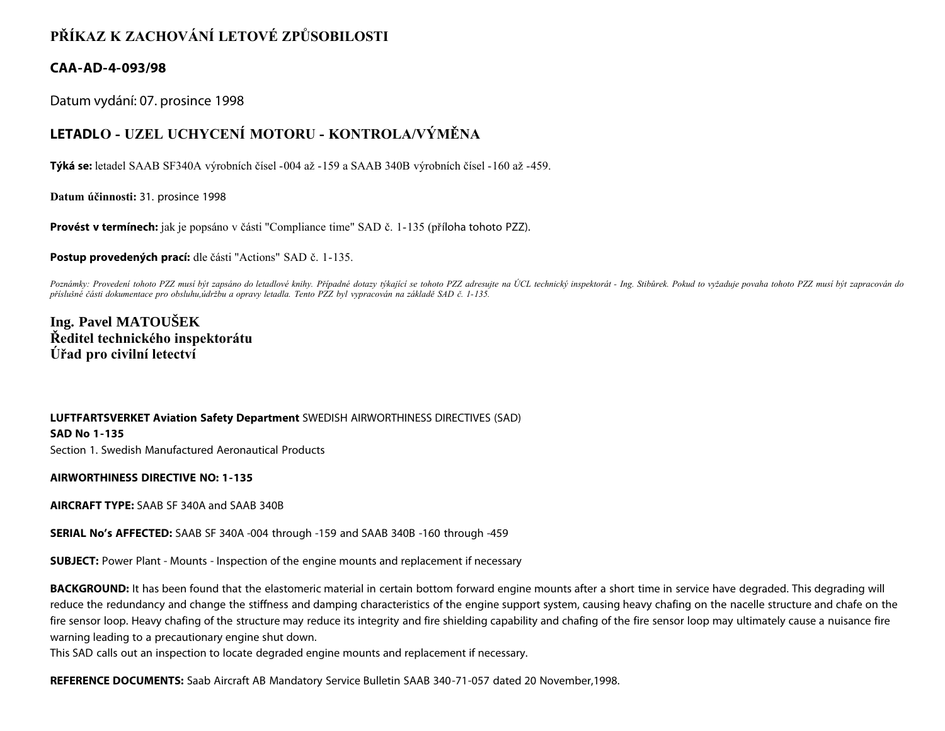## **PŘÍKAZ K ZACHOVÁNÍ LETOVÉ ZPŮSOBILOSTI**

## **CAA-AD-4-093/98**

Datum vydání: 07. prosince 1998

## **LETADLO - UZEL UCHYCENÍ MOTORU - KONTROLA/VÝMĚNA**

**Týká se:** letadel SAAB SF340A výrobních čísel -004 až -159 a SAAB 340B výrobních čísel -160 až -459.

**Datum účinnosti:** 31. prosince 1998

**Provést v termínech:** jak je popsáno v části "Compliance time" SAD č. 1-135 (příloha tohoto PZZ).

**Postup provedených prací:** dle části "Actions" SAD č. 1-135.

Poznámky: Provedení tohoto PZZ musí být zapsáno do letadlové knihy. Případné dotazy týkající se tohoto PZZ adresujte na ÚCL technický inspektorát - Ing. Stibůrek. Pokud to vyžaduje povaha tohoto PZZ musí být zapracován do *příslušné části dokumentace pro obsluhu,údržbu a opravy letadla. Tento PZZ byl vypracován na základě SAD č. 1-135.*

**Ing. Pavel MATOUŠEK Ředitel technického inspektorátu Úřad pro civilní letectví**

**LUFTFARTSVERKET Aviation Safety Department** SWEDISH AIRWORTHINESS DIRECTIVES (SAD) **SAD No 1-135** Section 1. Swedish Manufactured Aeronautical Products

**AIRWORTHINESS DIRECTIVE NO: 1-135**

**AIRCRAFT TYPE:** SAAB SF 340A and SAAB 340B

**SERIAL No's AFFECTED:** SAAB SF 340A -004 through -159 and SAAB 340B -160 through -459

**SUBJECT:** Power Plant - Mounts - Inspection of the engine mounts and replacement if necessary

**BACKGROUND:** It has been found that the elastomeric material in certain bottom forward engine mounts after a short time in service have degraded. This degrading will reduce the redundancy and change the stiffness and damping characteristics of the engine support system, causing heavy chafing on the nacelle structure and chafe on the fire sensor loop. Heavy chafing of the structure may reduce its integrity and fire shielding capability and chafing of the fire sensor loop may ultimately cause a nuisance fire warning leading to a precautionary engine shut down.

This SAD calls out an inspection to locate degraded engine mounts and replacement if necessary.

**REFERENCE DOCUMENTS:** Saab Aircraft AB Mandatory Service Bulletin SAAB 340-71-057 dated 20 November,1998.